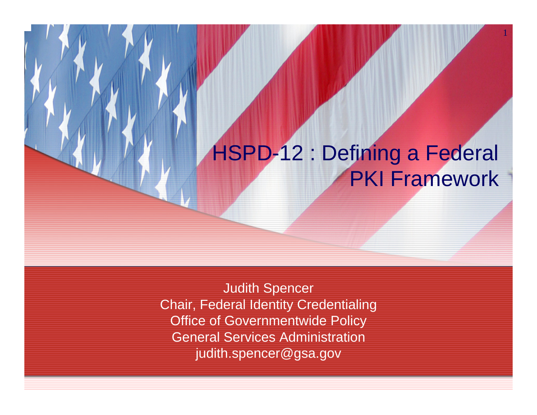# HSPD-12 : Defining a Federal PKI Framework

1

Judith Spencer Chair, Federal Identity Credentialing Office of Governmentwide Policy General Services Administration judith.spencer@gsa.gov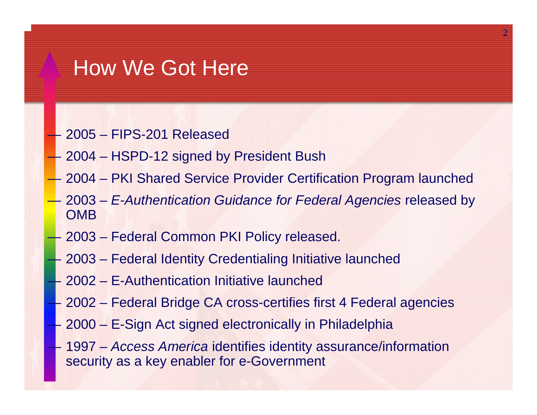## How We Got Here

- 2005 FIPS-201 Released
- 2004 HSPD-12 signed by President Bush
- 2004 PKI Shared Service Provider Certification Program launched
- 2003 *E-Authentication Guidance for Federal Agencies* released by **OMB**
- 2003 Federal Common PKI Policy released.
- 2003 Federal Identity Credentialing Initiative launched
- 2002 E-Authentication Initiative launched
- —————— 2002 – Federal Bridge CA cross-certifies first 4 Federal agencies
- $\mathcal{L}_{\mathcal{A}}$  2000 – E-Sign Act signed electronically in Philadelphia
	- 1997 *Access America* identifies identity assurance/information security as a key enabler for e-Government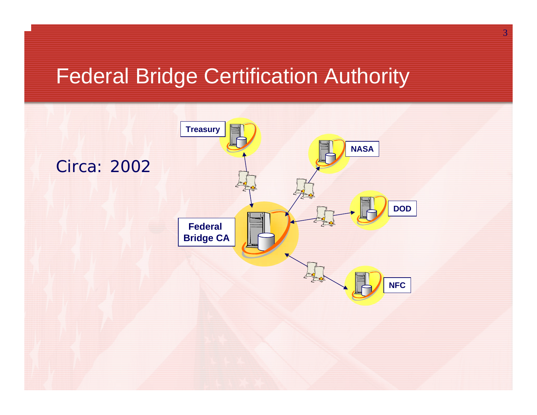## Federal Bridge Certification Authority

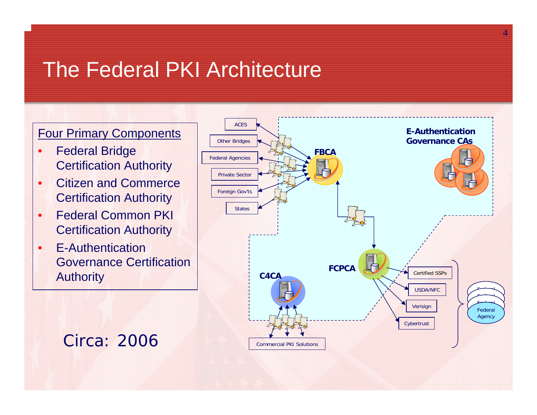# The Federal PKI Architecture

### Four Primary Components

- • Federal Bridge Certification Authority
- • Citizen and Commerce Certification Authority
- • Federal Common PKI Certification Authority
- • E-Authentication Governance Certification Authority



4

## Circa: 2006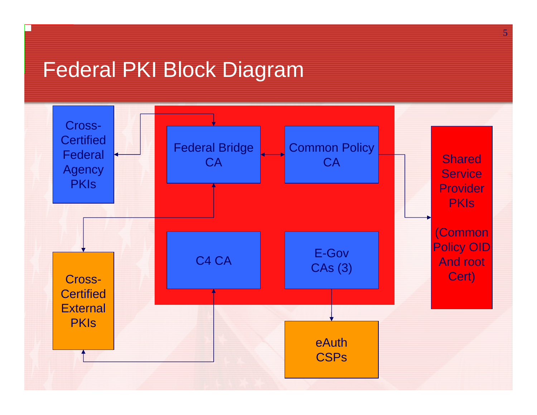# Federal PKI Block Diagram



5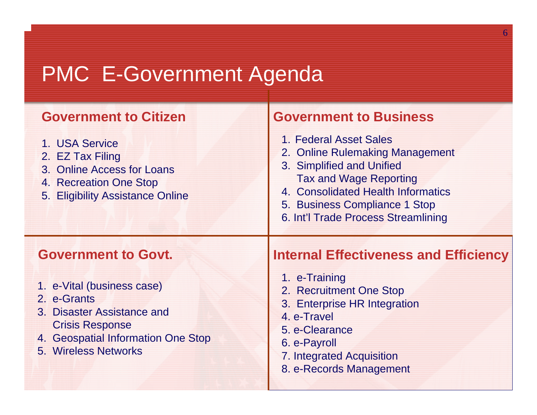# PMC E-Government Agenda

### **Government to Citizen**

- 1. USA Service
- 2. EZ Tax Filing
- 3. Online Access for Loans
- 4. Recreation One Stop
- 5. Eligibility Assistance Online

### **Government to Business**

- 1. Federal Asset Sales
- 2. Online Rulemaking Management
- 3. Simplified and Unified Tax and Wage Reporting
- 4. Consolidated Health Informatics
- 5. Business Compliance 1 Stop
- 6. Int'l Trade Process Streamlining

- 1. e-Vital (business case)
- 2. e-Grants
- 3. Disaster Assistance andCrisis Response
- 4. Geospatial Information One Stop
- 5. Wireless Networks

### **Government to Govt. Internal Effectiveness and Efficiency**

6

- 1. e-Training
- 2. Recruitment One Stop
- 3. Enterprise HR Integration
- 4. e-Travel
- 5. e-Clearance
- 6. e-Payroll
- 7. Integrated Acquisition
- 8. e-Records Management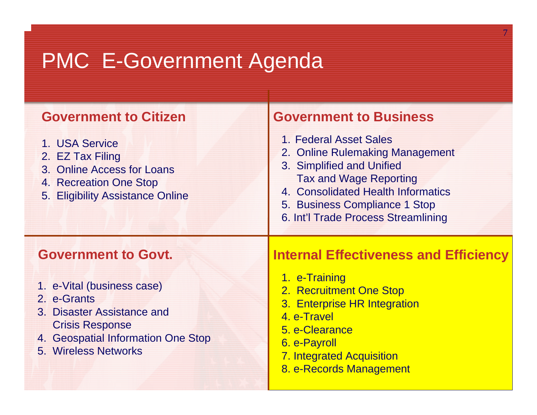# PMC E-Government Agenda

### **Government to Citizen**

- 1. USA Service
- 2. EZ Tax Filing
- 3. Online Access for Loans
- 4. Recreation One Stop
- 5. Eligibility Assistance Online

### **Government to Business**

- 1. Federal Asset Sales
- 2. Online Rulemaking Management
- 3. Simplified and Unified Tax and Wage Reporting
- 4. Consolidated Health Informatics
- 5. Business Compliance 1 Stop
- 6. Int'l Trade Process Streamlining

- 1. e-Vital (business case)
- 2. e-Grants
- 3. Disaster Assistance andCrisis Response
- 4. Geospatial Information One Stop
- 5. Wireless Networks

### **Government to Govt. Internal Effectiveness and Efficiency**

- 1. e-Training
- 2. Recruitment One Stop
- 3. Enterprise HR Integration
- 4. e-Travel
- 5. e-Clearance
- 6. e-Payroll
- 7. Integrated Acquisition
- 8. e-Records Management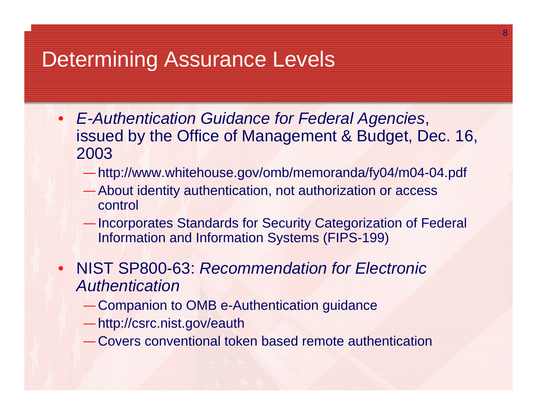## Determining Assurance Levels

- *E-Authentication Guidance for Federal Agencies*, issued by the Office of Management & Budget, Dec. 16, 2003
	- —http://www.whitehouse.gov/omb/memoranda/fy04/m04-04.pdf
	- —About identity authentication, not authorization or access control
	- —Incorporates Standards for Security Categorization of Federal Information and Information Systems (FIPS-199)
- NIST SP800-63: *Recommendation for Electronic Authentication*
	- —Companion to OMB e-Authentication guidance
	- —http://csrc.nist.gov/eauth
	- —Covers conventional token based remote authentication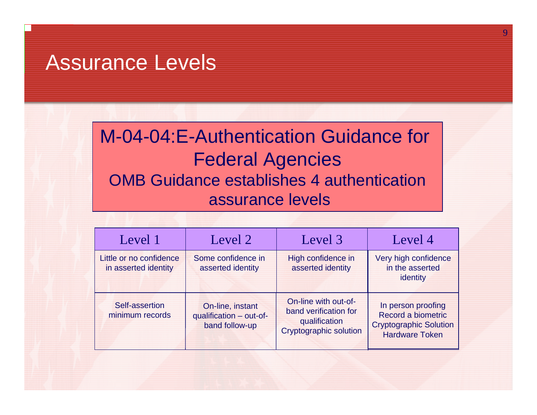## Assurance Levels

## M-04-04:E-Authentication Guidance for Federal Agencies OMB Guidance establishes 4 authenticationassurance levels

| Level 1                                         | Level 2                                                       | Level 3 <sup>1</sup>                                                                            | Level 4                                                                                            |
|-------------------------------------------------|---------------------------------------------------------------|-------------------------------------------------------------------------------------------------|----------------------------------------------------------------------------------------------------|
| Little or no confidence<br>in asserted identity | Some confidence in<br>asserted identity                       | High confidence in<br>asserted identity                                                         | Very high confidence<br>in the asserted<br>identity                                                |
| Self-assertion<br>minimum records               | On-line, instant<br>qualification - out-of-<br>band follow-up | On-line with out-of-<br>band verification for<br>qualification<br><b>Cryptographic solution</b> | In person proofing<br>Record a biometric<br><b>Cryptographic Solution</b><br><b>Hardware Token</b> |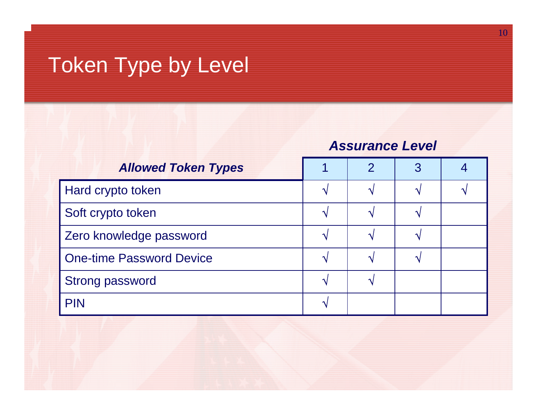# Token Type by Level

### *Assurance Level*

| <b>Allowed Token Types</b>      |  | $\mathcal{P}$ | 3 |  |
|---------------------------------|--|---------------|---|--|
| Hard crypto token               |  | $\mathbf{v}$  |   |  |
| Soft crypto token               |  | $\Delta$      |   |  |
| Zero knowledge password         |  |               |   |  |
| <b>One-time Password Device</b> |  |               |   |  |
| <b>Strong password</b>          |  |               |   |  |
| <b>PIN</b>                      |  |               |   |  |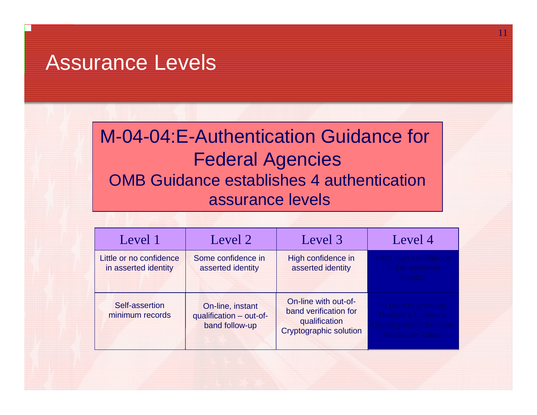## Assurance Levels

## M-04-04:E-Authentication Guidance for Federal Agencies OMB Guidance establishes 4 authenticationassurance levels

11

| Level 1                                         | Level 2                                                       | Level 3                                                                                         | Level 4                                                                  |
|-------------------------------------------------|---------------------------------------------------------------|-------------------------------------------------------------------------------------------------|--------------------------------------------------------------------------|
| Little or no confidence<br>in asserted identity | Some confidence in<br>asserted identity                       | High confidence in<br>asserted identity                                                         | in the asserter                                                          |
| Self-assertion<br>minimum records               | On-line, instant<br>qualification - out-of-<br>band follow-up | On-line with out-of-<br>band verification for<br>qualification<br><b>Cryptographic solution</b> | In person proo<br>Record a bio<br>tryntographic Soluti<br>Hardware Token |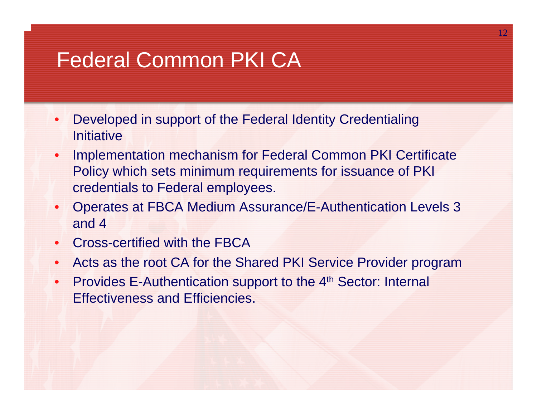# Federal Common PKI CA

- • Developed in support of the Federal Identity Credentialing **Initiative**
- • Implementation mechanism for Federal Common PKI Certificate Policy which sets minimum requirements for issuance of PKI credentials to Federal employees.
- • Operates at FBCA Medium Assurance/E-Authentication Levels 3 and 4
- $\bullet$ Cross-certified with the FBCA
- •Acts as the root CA for the Shared PKI Service Provider program
- $\bullet$ Provides E-Authentication support to the 4<sup>th</sup> Sector: Internal Effectiveness and Efficiencies.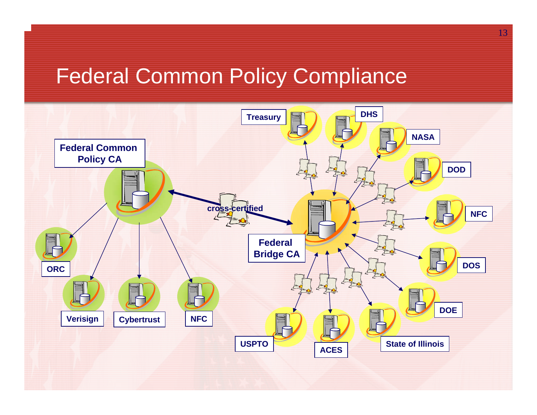# Federal Common Policy Compliance

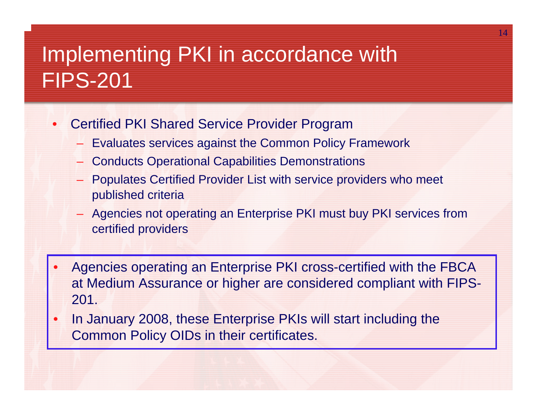# Implementing PKI in accordance with FIPS-201

- • Certified PKI Shared Service Provider Program
	- Evaluates services against the Common Policy Framework
	- Conducts Operational Capabilities Demonstrations
	- Populates Certified Provider List with service providers who meet published criteria
	- Agencies not operating an Enterprise PKI must buy PKI services from certified providers
- • Agencies operating an Enterprise PKI cross-certified with the FBCA at Medium Assurance or higher are considered compliant with FIPS-201.
- • In January 2008, these Enterprise PKIs will start including the Common Policy OIDs in their certificates.